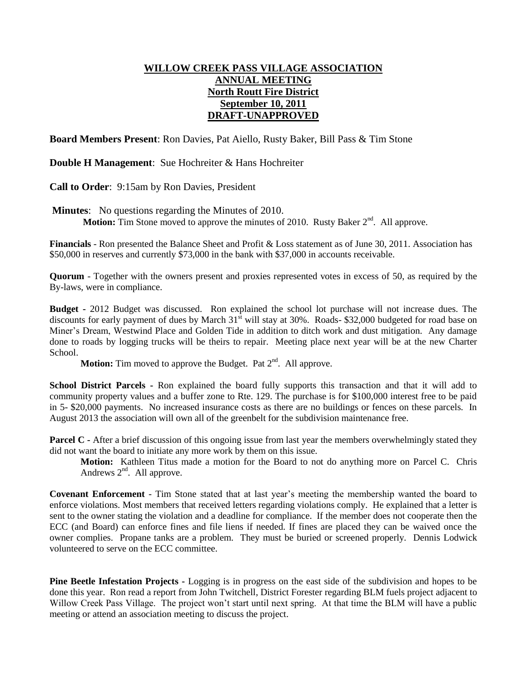## **WILLOW CREEK PASS VILLAGE ASSOCIATION ANNUAL MEETING North Routt Fire District September 10, 2011 DRAFT-UNAPPROVED**

**Board Members Present**: Ron Davies, Pat Aiello, Rusty Baker, Bill Pass & Tim Stone

**Double H Management**: Sue Hochreiter & Hans Hochreiter

**Call to Order**: 9:15am by Ron Davies, President

**Minutes**: No questions regarding the Minutes of 2010. **Motion:** Tim Stone moved to approve the minutes of 2010. Rusty Baker 2<sup>nd</sup>. All approve.

**Financials** - Ron presented the Balance Sheet and Profit & Loss statement as of June 30, 2011. Association has \$50,000 in reserves and currently \$73,000 in the bank with \$37,000 in accounts receivable.

**Quorum** - Together with the owners present and proxies represented votes in excess of 50, as required by the By-laws, were in compliance.

**Budget -** 2012 Budget was discussed. Ron explained the school lot purchase will not increase dues. The discounts for early payment of dues by March 31<sup>st</sup> will stay at 30%. Roads- \$32,000 budgeted for road base on Miner's Dream, Westwind Place and Golden Tide in addition to ditch work and dust mitigation. Any damage done to roads by logging trucks will be theirs to repair. Meeting place next year will be at the new Charter School.

Motion: Tim moved to approve the Budget. Pat 2<sup>nd</sup>. All approve.

**School District Parcels -** Ron explained the board fully supports this transaction and that it will add to community property values and a buffer zone to Rte. 129. The purchase is for \$100,000 interest free to be paid in 5- \$20,000 payments. No increased insurance costs as there are no buildings or fences on these parcels. In August 2013 the association will own all of the greenbelt for the subdivision maintenance free.

**Parcel C -** After a brief discussion of this ongoing issue from last year the members overwhelmingly stated they did not want the board to initiate any more work by them on this issue.

**Motion:** Kathleen Titus made a motion for the Board to not do anything more on Parcel C. Chris Andrews  $2<sup>nd</sup>$ . All approve.

**Covenant Enforcement** - Tim Stone stated that at last year's meeting the membership wanted the board to enforce violations. Most members that received letters regarding violations comply. He explained that a letter is sent to the owner stating the violation and a deadline for compliance. If the member does not cooperate then the ECC (and Board) can enforce fines and file liens if needed. If fines are placed they can be waived once the owner complies. Propane tanks are a problem. They must be buried or screened properly. Dennis Lodwick volunteered to serve on the ECC committee.

**Pine Beetle Infestation Projects -** Logging is in progress on the east side of the subdivision and hopes to be done this year. Ron read a report from John Twitchell, District Forester regarding BLM fuels project adjacent to Willow Creek Pass Village. The project won't start until next spring. At that time the BLM will have a public meeting or attend an association meeting to discuss the project.